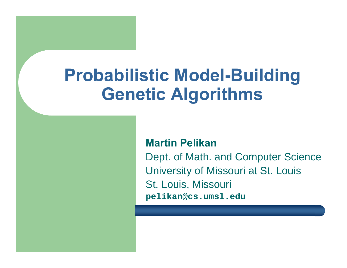# **Probabilistic Model-Building Genetic Algorithms**

#### **Martin Pelikan**

Dept. of Math. and Computer Science University of Missouri at St. Louis St. Louis, Missouri **pelikan@cs.umsl.edu**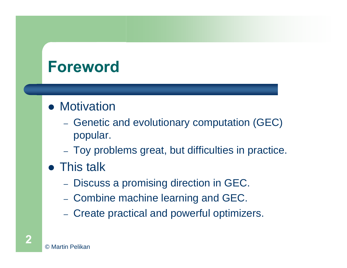## **Foreword**

#### • Motivation

- Genetic and evolutionary computation (GEC) popular.
- Toy problems great, but difficulties in practice.
- This talk
	- Discuss a promising direction in GEC.
	- Combine machine learning and GEC.
	- Create practical and powerful optimizers.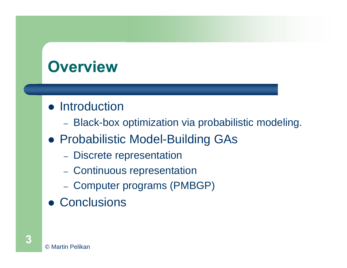## **Overview**

#### • Introduction

- Black-box optimization via probabilistic modeling.
- **Probabilistic Model-Building GAs** 
	- $-$ - Discrete representation
	- Continuous representation
	- Computer programs (PMBGP)
- **Conclusions**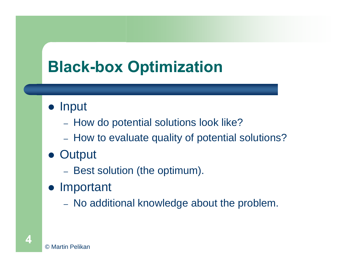## **Black-box Optimization**

- Input
	- How do potential solutions look like?
	- How to evaluate quality of potential solutions?
- Output
	- Best solution (the optimum).
- Important
	- $-$ - No additional knowledge about the problem.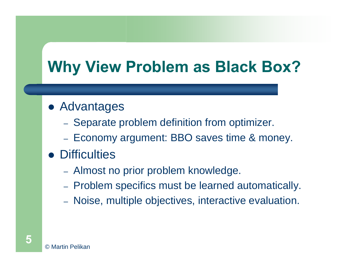## **Why View Problem as Black Box?**

#### **• Advantages**

- Separate problem definition from optimizer.
- Economy argument: BBO saves time & money.
- Difficulties
	- Almost no prior problem knowledge.
	- Problem specifics must be learned automatically.
	- Noise, multiple objectives, interactive evaluation.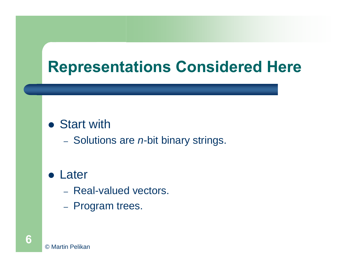## **Representations Considered Here**

#### • Start with

 $-$ - Solutions are *n*-bit binary strings.

#### • Later

- Real-valued vectors.
- –- Program trees.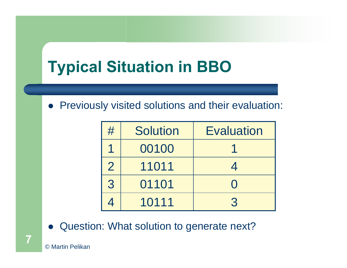## **Typical Situation in BBO**

• Previously visited solutions and their evaluation:

| #              | <b>Solution</b> | <b>Evaluation</b> |
|----------------|-----------------|-------------------|
|                | 00100           |                   |
| $\overline{2}$ | 11011           |                   |
| 3              | 01101           |                   |
|                | 10111           | R                 |

 $\bullet$ Question: What solution to generate next?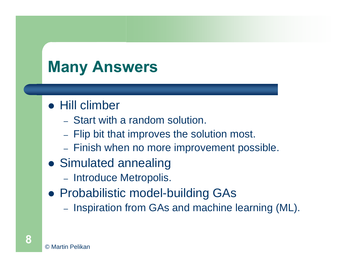## **Many Answers**

#### • Hill climber

- Start with a random solution.
- $-$  Flip bit that improves the solution most.
- $-$ - Finish when no more improvement possible.
- Simulated annealing
	- Introduce Metropolis.
- **Probabilistic model-building GAs** 
	- $-$ - Inspiration from GAs and machine learning (ML).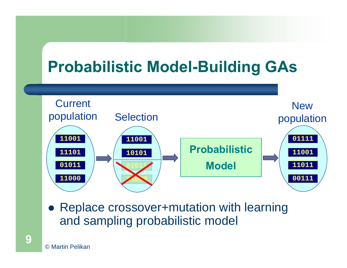## **Probabilistic Model-Building GAs**



• Replace crossover+mutation with learning and sampling probabilistic model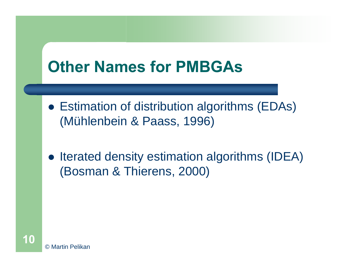## **Other Names for PMBGAs**

- Estimation of distribution algorithms (EDAs) (Mühlenbein & Paass, 1996)
- Iterated density estimation algorithms (IDEA) (Bosman & Thierens, 2000)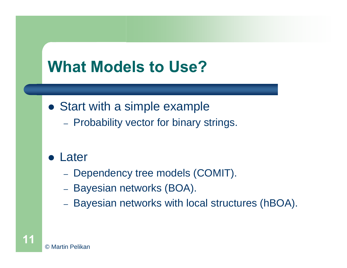## **What Models to Use?**

- Start with a simple example
	- Probability vector for binary strings.
- Later
	- $-$ - Dependency tree models (COMIT).
	- $-$ – Bayesian networks (BOA).
	- $-$ Bayesian networks with local structures (hBOA).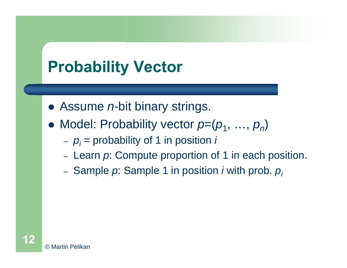## **Probability Vector**

- Assume *n*-bit binary strings.
- $\bullet$ Model: Probability vector  $p=(p_1, \ldots, p_n)$ 
	- *pi* = probability of 1 in position *i*
	- $-$ - Learn *p*: Compute proportion of 1 in each position.
	- Sample *p*: Sample 1 in position *i* with prob. *pi*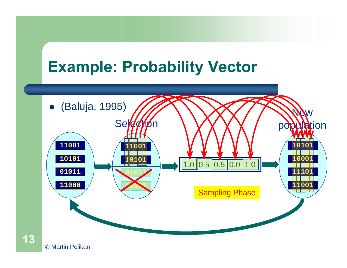#### **Example: Probability Vector**



© Martin Pelikan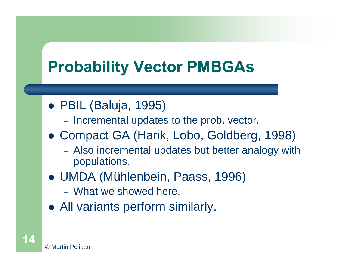## **Probability Vector PMBGAs**

- PBIL (Baluja, 1995)
	- Incremental updates to the prob. vector.
- Compact GA (Harik, Lobo, Goldberg, 1998)
	- $-$  Also incremental updates but better analogy with populations.
- **UMDA (Mühlenbein, Paass, 1996)** 
	- What we showed here.
- All variants perform similarly.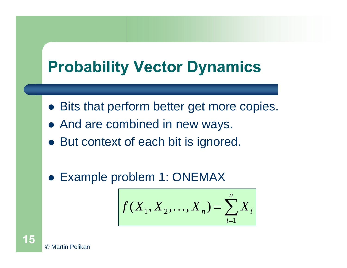## **Probability Vector Dynamics**

- Bits that perform better get more copies.
- And are combined in new ways.
- But context of each bit is ignored.
- Example problem 1: ONEMAX

$$
f(X_1, X_2, \dots, X_n) = \sum_{i=1}^n X_i
$$

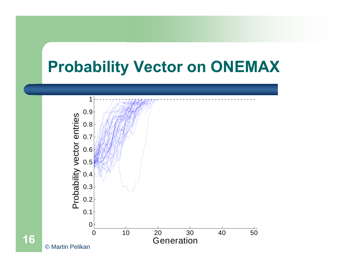#### **Probability Vector on ONEMAX**

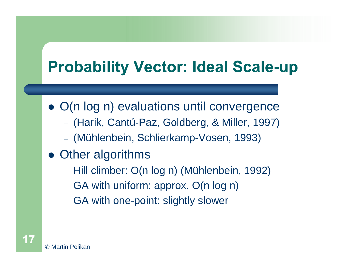## **Probability Vector: Ideal Scale-up**

- O(n log n) evaluations until convergence
	- (Harik, Cantú-Paz, Goldberg, & Miller, 1997)
	- (Mühlenbein, Schlierkamp-Vosen, 1993)
- Other algorithms
	- Hill climber: O(n log n) (Mühlenbein, 1992)
	- GA with uniform: approx. O(n log n)
	- GA with one-point: slightly slower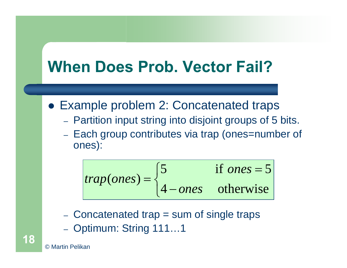### **When Does Prob. Vector Fail?**

- Example problem 2: Concatenated traps
	- Partition input string into disjoint groups of 5 bits.
	- Each group contributes via trap (ones=number of ones):

$$
trap(ones) = \begin{cases} 5 & \text{if ones = 5} \\ 4 - ones & \text{otherwise} \end{cases}
$$

- Concatenated trap = sum of single traps
- Optimum: String 111…1

© Martin Pelikan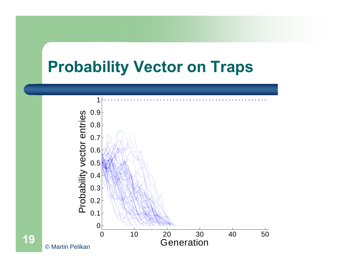#### **Probability Vector on Traps**

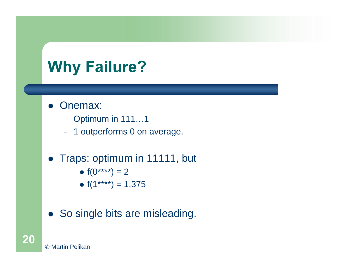## **Why Failure?**

- Onemax:
	- Optimum in 111…1
	- 1 outperforms 0 on average.
- Traps: optimum in 11111, but
	- $f(0^{***}) = 2$
	- f(1\*\*\*\*) = 1.375
- So single bits are misleading.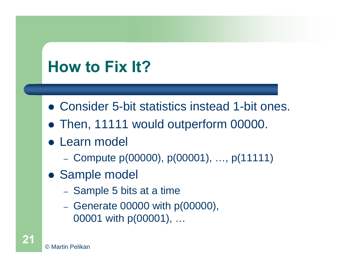## **How to Fix It?**

- Consider 5-bit statistics instead 1-bit ones.
- Then, 11111 would outperform 00000.
- **Learn model** 
	- $-$ Compute p(00000), p(00001), …, p(11111)
- Sample model
	- Sample 5 bits at a time
	- – $-$  Generate 00000 with p(00000), 00001 with p(00001), …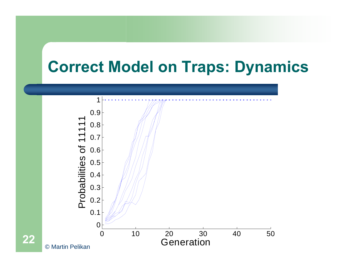#### **Correct Model on Traps: Dynamics**

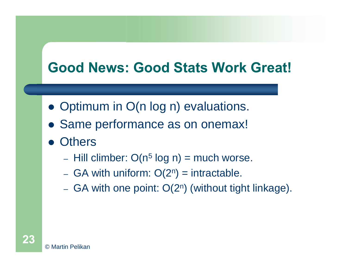#### **Good News: Good Stats Work Great!**

- Optimum in O(n log n) evaluations.
- Same performance as on onemax!
- Others
	- $-$  Hill climber: O(n $^{5}$  log n) = much worse.
	- $-$ - GA with uniform:  $O(2^n)$  = intractable.
	- $-$ - GA with one point:  $O(2^n)$  (without tight linkage).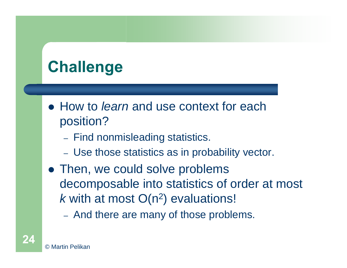# **Challenge**

- How to *learn* and use context for each position?
	- $-$ - Find nonmisleading statistics.
	- $-$ Use those statistics as in probability vector.
- Then, we could solve problems decomposable into statistics of order at most  $k$  with at most  $O(n^2)$  evaluations!
	- And there are many of those problems.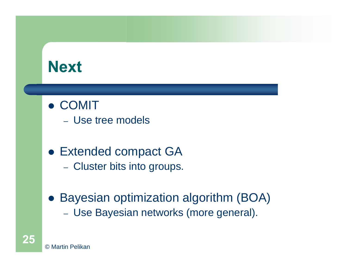### **Next**

- **COMIT** 
	- Use tree models
- Extended compact GA
	- Cluster bits into groups.
- **Bayesian optimization algorithm (BOA)** 
	- Use Bayesian networks (more general).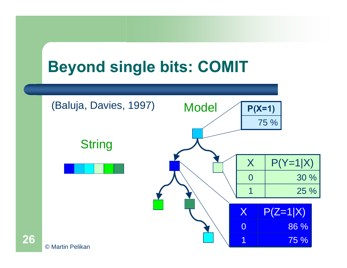## **Beyond single bits: COMIT**

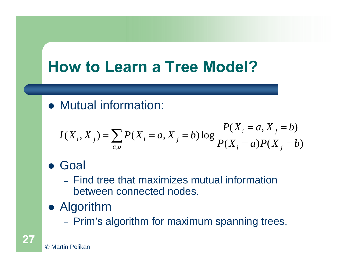## **How to Learn a Tree Model?**

• Mutual information:

$$
I(X_i, X_j) = \sum_{a,b} P(X_i = a, X_j = b) \log \frac{P(X_i = a, X_j = b)}{P(X_i = a)P(X_j = b)}
$$

#### **• Goal**

- Find tree that maximizes mutual information between connected nodes.
- Algorithm
	- Prim's algorithm for maximum spanning trees.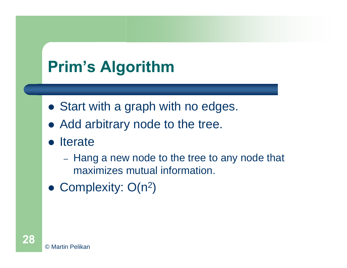## **Prim's Algorithm**

- Start with a graph with no edges.
- Add arbitrary node to the tree.
- Iterate
	- $-$ - Hang a new node to the tree to any node that maximizes mutual information.
- Complexity:  $O(n^2)$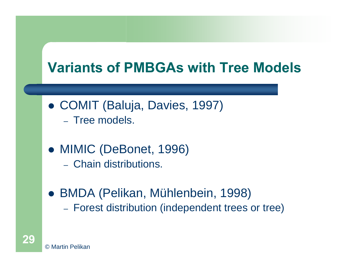#### **Variants of PMBGAs with Tree Models**

- COMIT (Baluja, Davies, 1997)
	- Tree models.
- MIMIC (DeBonet, 1996)
	- Chain distributions.
- z BMDA (Pelikan, Mühlenbein, 1998)  $-$ Forest distribution (independent trees or tree)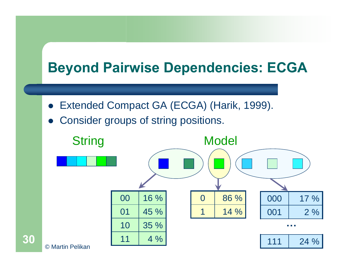#### **Beyond Pairwise Dependencies: ECGA**

- $\bullet$ Extended Compact GA (ECGA) (Harik, 1999).
- $\bullet$ Consider groups of string positions.

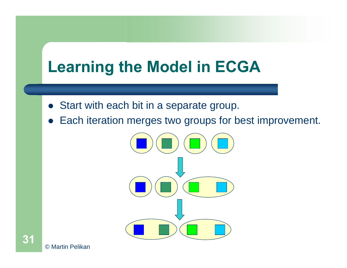## **Learning the Model in ECGA**

- Start with each bit in a separate group.
- $\bullet$ Each iteration merges two groups for best improvement.

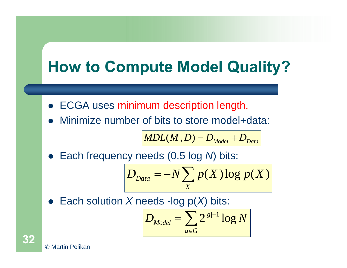## **How to Compute Model Quality?**

- **ECGA uses minimum description length.**
- $\bullet$ Minimize number of bits to store model+data:

$$
MDL(M, D) = D_{Model} + D_{Data}
$$

 $\bullet$ Each frequency needs (0.5 log *N*) bits:

$$
D_{Data} = -N \sum_{X} p(X) \log p(X)
$$

 $\bullet$ Each solution *X* needs -log p(*X*) bits:

$$
D_{\text{Model}} = \sum_{g \in G} 2^{|g|-1} \log N
$$

© Martin Pelikan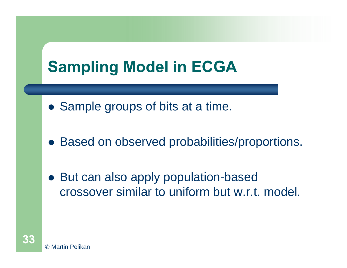## **Sampling Model in ECGA**

- Sample groups of bits at a time.
- Based on observed probabilities/proportions.
- But can also apply population-based crossover similar to uniform but w.r.t. model.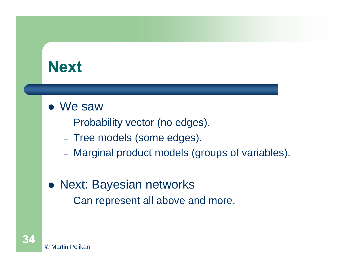## **Next**

- We saw
	- Probability vector (no edges).
	- Tree models (some edges).
	- Marginal product models (groups of variables).
- Next: Bayesian networks
	- Can represent all above and more.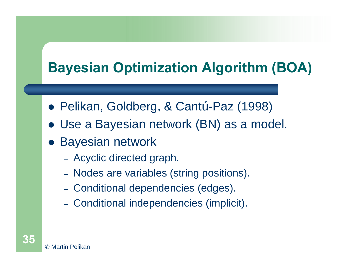### **Bayesian Optimization Algorithm (BOA)**

- z Pelikan, Goldberg, & Cantú-Paz (1998)
- $\bullet$ Use a Bayesian network (BN) as a model.
- **Bayesian network** 
	- $-$ Acyclic directed graph.
	- $-$ - Nodes are variables (string positions).
	- $-$ - Conditional dependencies (edges).
	- $-$ - Conditional independencies (implicit).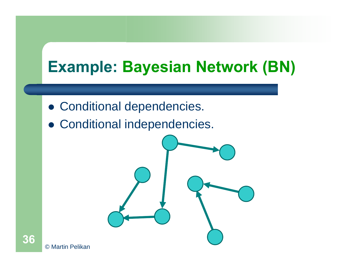## **Example: Bayesian Network (BN)**

- Conditional dependencies.
- Conditional independencies.

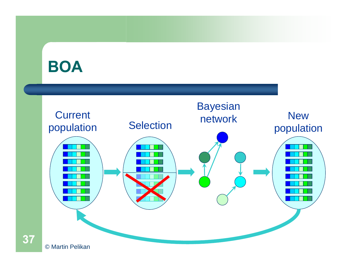### **BOA**

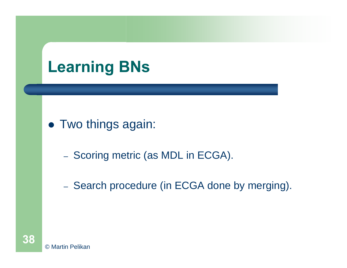## **Learning BNs**

### • Two things again:

- $-$ - Scoring metric (as MDL in ECGA).
- Search procedure (in ECGA done by merging).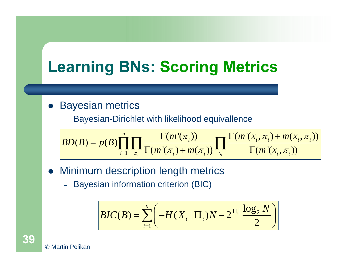# **Learning BNs: Scoring Metrics**

#### $\bullet$ Bayesian metrics

– Bayesian-Dirichlet with likelihood equivallence

$$
BD(B) = p(B) \prod_{i=1}^{n} \prod_{\pi_i} \frac{\Gamma(m'(\pi_i))}{\Gamma(m'(\pi_i) + m(\pi_i))} \prod_{x_i} \frac{\Gamma(m'(x_i, \pi_i) + m(x_i, \pi_i))}{\Gamma(m'(x_i, \pi_i))}
$$

- $\bullet$  Minimum description length metrics
	- Bayesian information criterion (BIC)

$$
BIC(B) = \sum_{i=1}^{n} \left( -H(X_i \mid \Pi_i)N - 2^{\left|\Pi_i\right|} \frac{\log_2 N}{2} \right)
$$



© Martin Pelikan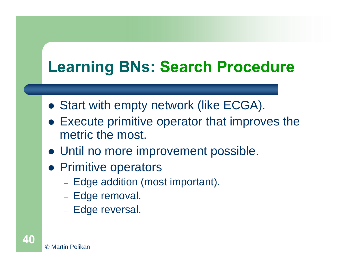# **Learning BNs: Search Procedure**

- Start with empty network (like ECGA).
- Execute primitive operator that improves the metric the most.
- Until no more improvement possible.
- Primitive operators
	- $-$ - Edge addition (most important).
	- Edge removal.
	- Edge reversal.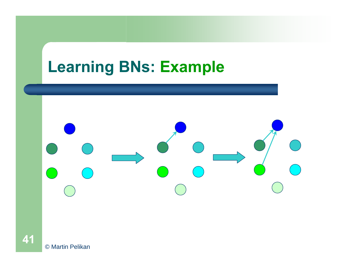### **Learning BNs: Example**



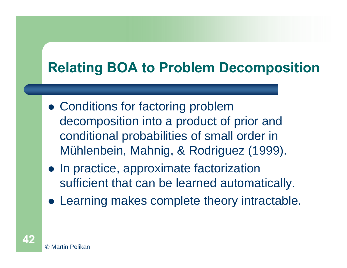## **Relating BOA to Problem Decomposition**

- Conditions for factoring problem decomposition into a product of prior and conditional probabilities of small order in Mühlenbein, Mahnig, & Rodriguez (1999).
- In practice, approximate factorization sufficient that can be learned automatically.
- Learning makes complete theory intractable.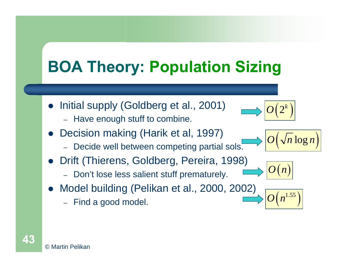# **BOA Theory: Population Sizing**

- $\bullet$  Initial supply (Goldberg et al., 2001)
	- Have enough stuff to combine.
- $\bullet$  Decision making (Harik et al, 1997)
	- Decide well between competing partial sols.
- $\bullet$  Drift (Thierens, Goldberg, Pereira, 1998)
	- Don't lose less salient stuff prematurely.
- $\bullet$  Model building (Pelikan et al., 2000, 2002)
	- Find a good model.

© Martin Pelikan

**43**





 $O\!\left( n^{1.55} \right)$ 

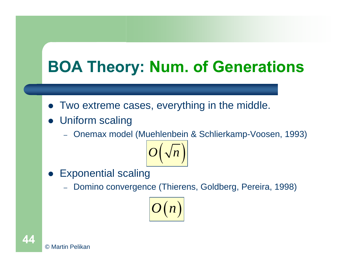# **BOA Theory: Num. of Generations**

- Two extreme cases, everything in the middle.
- Uniform scaling
	- Onemax model (Muehlenbein & Schlierkamp-Voosen, 1993)



- $\bullet$  Exponential scaling
	- Domino convergence (Thierens, Goldberg, Pereira, 1998)



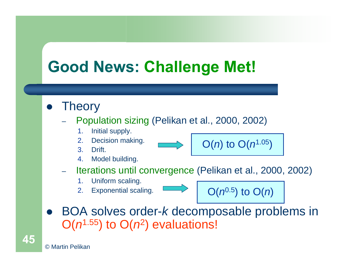# **Good News: Challenge Met!**

#### $\bullet$ **Theory**

- – Population sizing (Pelikan et al., 2000, 2002)
	- 1.Initial supply.
	- 2.Decision making.
	- 3. Drift.
	- 4.Model building.
- – Iterations until convergence (Pelikan et al., 2000, 2002)
	- 1.Uniform scaling.
	- 2.Exponential scaling.





O(*n*) to O(*n*1.05)

 $\bullet$  BOA solves order-*k* decomposable problems in  $O(n^{1.55})$  to  $O(n^2)$  evaluations!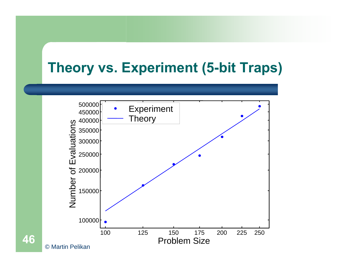### **Theory vs. Experiment (5-bit Traps)**

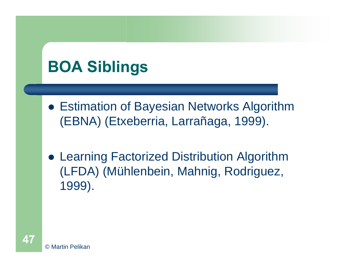# **BOA Siblings**

- **Estimation of Bayesian Networks Algorithm** (EBNA) (Etxeberria, Larrañaga, 1999).
- Learning Factorized Distribution Algorithm (LFDA) (Mühlenbein, Mahnig, Rodriguez, 1999).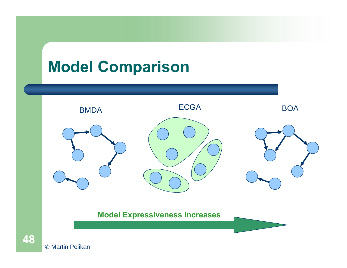# **Model Comparison**



**Model Expressiveness Increases**

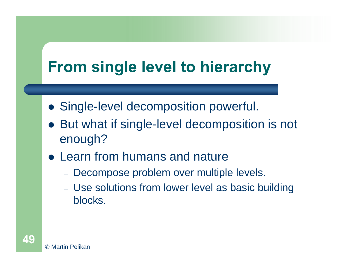# **From single level to hierarchy**

- **Single-level decomposition powerful.**
- $\bullet$  But what if single-level decomposition is not enough?
- Learn from humans and nature
	- Decompose problem over multiple levels.
	- Use solutions from lower level as basic building blocks.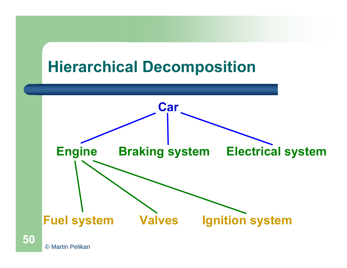### **Hierarchical Decomposition**



© Martin Pelikan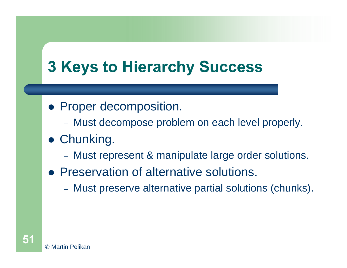# **3 Keys to Hierarchy Success**

- Proper decomposition.
	- Must decompose problem on each level properly.
- **Chunking.** 
	- $-$ Must represent & manipulate large order solutions.
- **Preservation of alternative solutions.** 
	- $-$ Must preserve alternative partial solutions (chunks).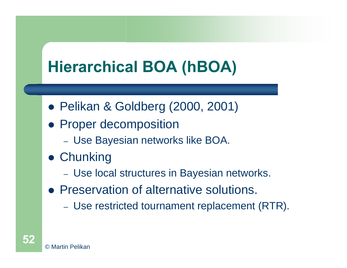# **Hierarchical BOA (hBOA)**

- z Pelikan & Goldberg (2000, 2001)
- Proper decomposition
	- $-$ Use Bayesian networks like BOA.
- **Chunking** 
	- $-$ Use local structures in Bayesian networks.
- Preservation of alternative solutions.
	- –Use restricted tournament replacement (RTR).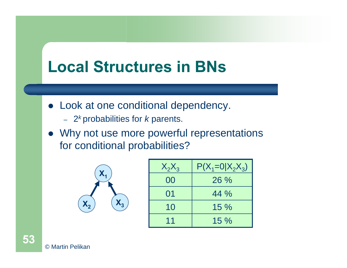### **Local Structures in BNs**

- Look at one conditional dependency.
	- 2*<sup>k</sup>*probabilities for *k* parents.
- Why not use more powerful representations for conditional probabilities?



| $X_2X_3$ | $P(X_1=0 X_2X_3)$ |
|----------|-------------------|
| 00       | 26%               |
| 01       | 44 %              |
| 10       | 15%               |
| 11       | $15\%$            |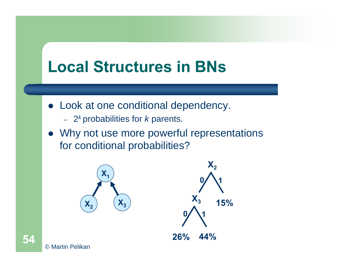### **Local Structures in BNs**

- Look at one conditional dependency.
	- 2*<sup>k</sup>*probabilities for *k* parents.
- Why not use more powerful representations for conditional probabilities?

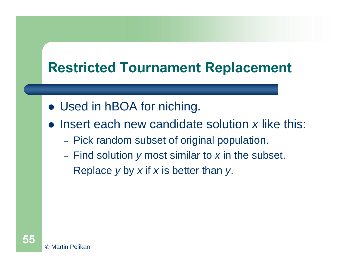### **Restricted Tournament Replacement**

- Used in hBOA for niching.
- Insert each new candidate solution x like this:
	- $-$ - Pick random subset of original population.
	- $-$ Find solution *y* most similar to *<sup>x</sup>* in the subset.
	- Replace *y* by *<sup>x</sup>* if *x* is better than *y*.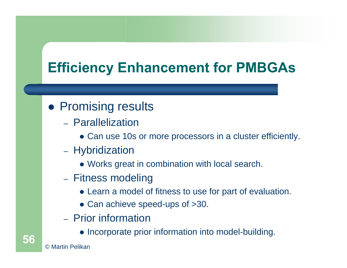### **Efficiency Enhancement for PMBGAs**

### • Promising results

- Parallelization
	- Can use 10s or more processors in a cluster efficiently.
- Hybridization
	- Works great in combination with local search.
- –– Fitness modeling
	- Learn a model of fitness to use for part of evaluation.
	- Can achieve speed-ups of >30.
- Prior information
	- Incorporate prior information into model-building.

© Martin Pelikan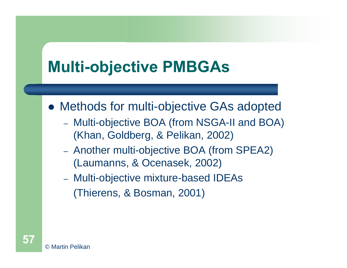# **Multi-objective PMBGAs**

• Methods for multi-objective GAs adopted

- Multi-objective BOA (from NSGA-II and BOA) (Khan, Goldberg, & Pelikan, 2002)
- Another multi-objective BOA (from SPEA2) (Laumanns, & Ocenasek, 2002)
- – Multi-objective mixture-based IDEAs (Thierens, & Bosman, 2001)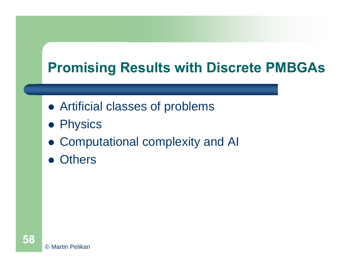### **Promising Results with Discrete PMBGAs**

- Artificial classes of problems
- **Physics**
- Computational complexity and AI
- Others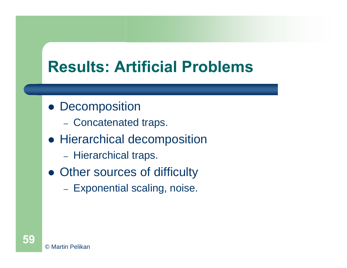# **Results: Artificial Problems**

- Decomposition
	- Concatenated traps.
- Hierarchical decomposition
	- $-$ - Hierarchical traps.
- Other sources of difficulty
	- $-$ – Exponential scaling, noise.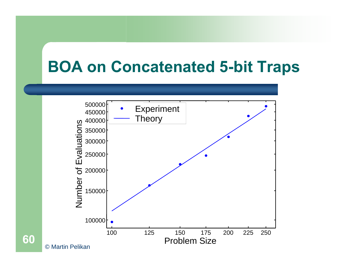### **BOA on Concatenated 5-bit Traps**

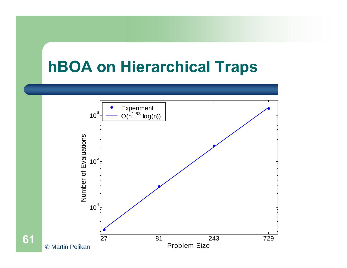## **hBOA on Hierarchical Traps**



**61**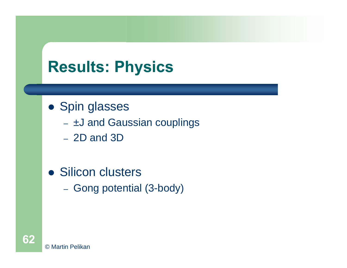# **Results: Physics**

### • Spin glasses

- ±J and Gaussian couplings
- 2D and 3D
- Silicon clusters
	- $-$ - Gong potential (3-body)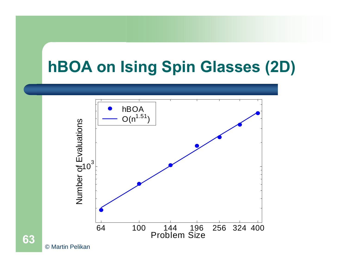# **hBOA on Ising Spin Glasses (2D)**



**63**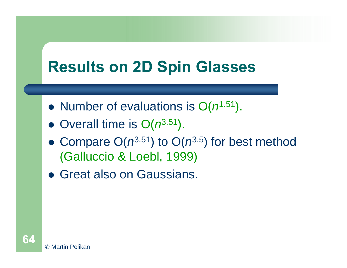# **Results on 2D Spin Glasses**

- Number of evaluations is  $O(n^{1.51})$ .
- Overall time is  $O(n^{3.51})$ .
- Compare  $O(n^{3.51})$  to  $O(n^{3.5})$  for best method (Galluccio & Loebl, 1999)
- **Great also on Gaussians.**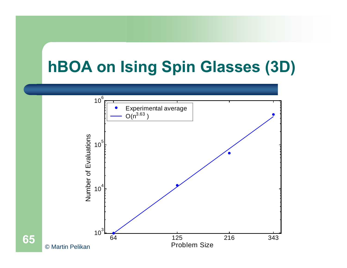# **hBOA on Ising Spin Glasses (3D)**

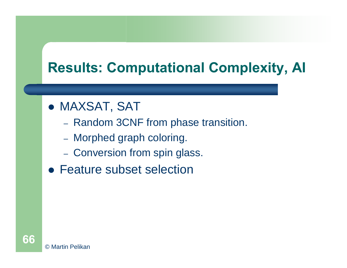### **Results: Computational Complexity, AI**

- **MAXSAT, SAT** 
	- Random 3CNF from phase transition.
	- Morphed graph coloring.
	- Conversion from spin glass.
- Feature subset selection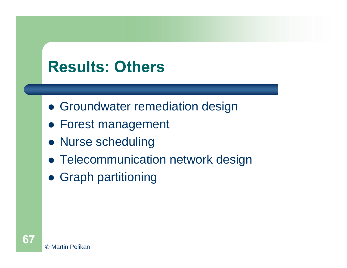# **Results: Others**

- **Groundwater remediation design**
- **Forest management**
- Nurse scheduling
- Telecommunication network design
- **Graph partitioning**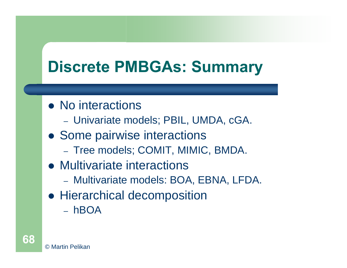# **Discrete PMBGAs: Summary**

- No interactions
	- Univariate models; PBIL, UMDA, cGA.
- Some pairwise interactions
	- Tree models; COMIT, MIMIC, BMDA.
- Multivariate interactions
	- Multivariate models: BOA, EBNA, LFDA.
- Hierarchical decomposition
	- hBOA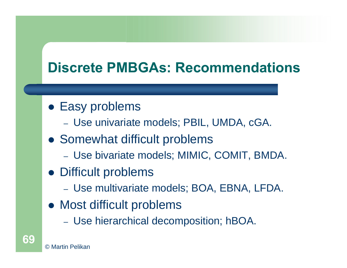### **Discrete PMBGAs: Recommendations**

- Easy problems
	- Use univariate models; PBIL, UMDA, cGA.
- Somewhat difficult problems
	- Use bivariate models; MIMIC, COMIT, BMDA.
- Difficult problems
	- Use multivariate models; BOA, EBNA, LFDA.
- Most difficult problems
	- –Use hierarchical decomposition; hBOA.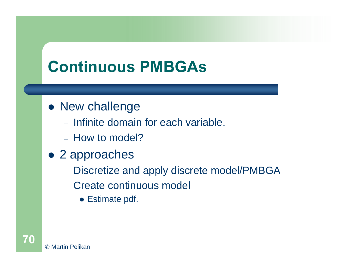# **Continuous PMBGAs**

### • New challenge

- Infinite domain for each variable.
- How to model?
- 2 approaches
	- –- Discretize and apply discrete model/PMBGA
	- Create continuous model
		- Estimate pdf.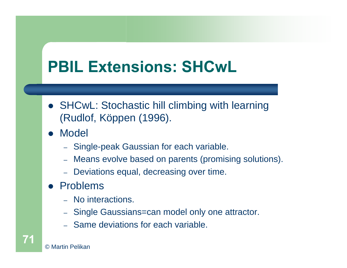# **PBIL Extensions: SHCwL**

- SHCwL: Stochastic hill climbing with learning (Rudlof, Köppen (1996).
- $\bullet$  Model
	- Single-peak Gaussian for each variable.
	- Means evolve based on parents (promising solutions).
	- Deviations equal, decreasing over time.
- Problems
	- No interactions.
	- Single Gaussians=can model only one attractor.
	- Same deviations for each variable.

© Martin Pelikan

**71**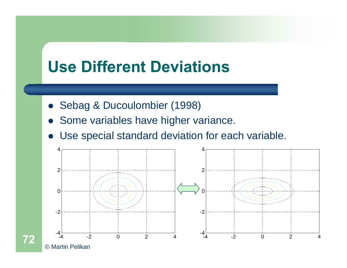### **Use Different Deviations**

- **Sebag & Ducoulombier (1998)**
- $\bullet$ Some variables have higher variance.
- $\bullet$ Use special standard deviation for each variable.

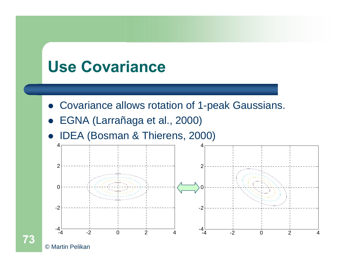### **Use Covariance**

- Covariance allows rotation of 1-peak Gaussians.
- $\bullet$ EGNA (Larrañaga et al., 2000)
- $\bullet$ IDEA (Bosman & Thierens, 2000)



© Martin Pelikan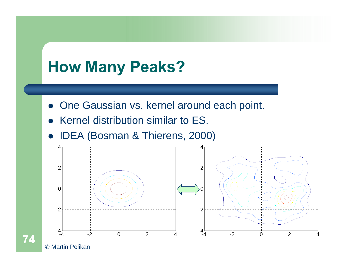## **How Many Peaks?**

- One Gaussian vs. kernel around each point.
- $\bullet$ Kernel distribution similar to ES.
- $\bullet$ IDEA (Bosman & Thierens, 2000)



© Martin Pelikan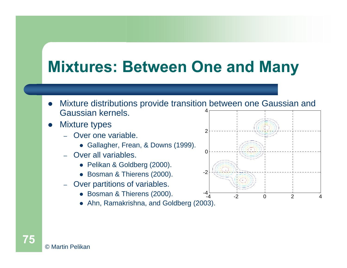## **Mixtures: Between One and Many**

- 4 $\bullet$  Mixture distributions provide transition between one Gaussian and Gaussian kernels.
- $\bullet$  Mixture types
	- Over one variable.
		- Gallagher, Frean, & Downs (1999).
	- Over all variables.
		- Pelikan & Goldberg (2000).
		- Bosman & Thierens (2000).
	- Over partitions of variables.
		- Bosman & Thierens (2000).
		- Ahn, Ramakrishna, and Goldberg (2003).

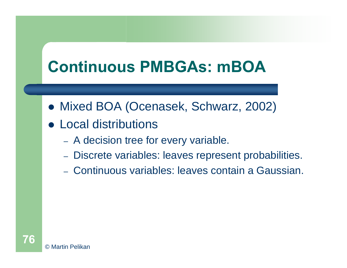## **Continuous PMBGAs: mBOA**

- Mixed BOA (Ocenasek, Schwarz, 2002)
- Local distributions
	- –- A decision tree for every variable.
	- –Discrete variables: leaves represent probabilities.
	- Continuous variables: leaves contain a Gaussian.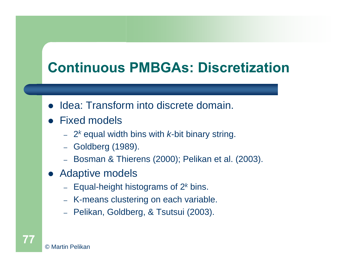### **Continuous PMBGAs: Discretization**

- $\bullet$ Idea: Transform into discrete domain.
- Fixed models
	- 2*<sup>k</sup>* equal width bins with *k*-bit binary string.
	- Goldberg (1989).
	- Bosman & Thierens (2000); Pelikan et al. (2003).
- $\bullet$  Adaptive models
	- Equal-height histograms of 2*<sup>k</sup>* bins.
	- K-means clustering on each variable.
	- Pelikan, Goldberg, & Tsutsui (2003).

© Martin Pelikan**77**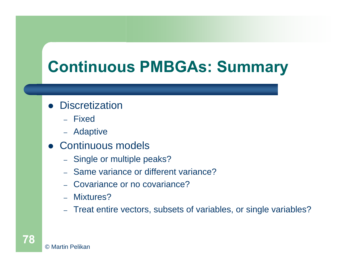## **Continuous PMBGAs: Summary**

#### • Discretization

- Fixed
- Adaptive
- Continuous models
	- Single or multiple peaks?
	- Same variance or different variance?
	- Covariance or no covariance?
	- Mixtures?
	- Treat entire vectors, subsets of variables, or single variables?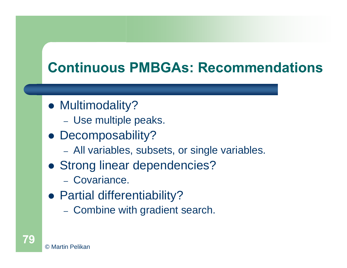### **Continuous PMBGAs: Recommendations**

- Multimodality?
	- Use multiple peaks.
- Decomposability?
	- –All variables, subsets, or single variables.
- Strong linear dependencies?
	- Covariance.
- Partial differentiability?
	- Combine with gradient search.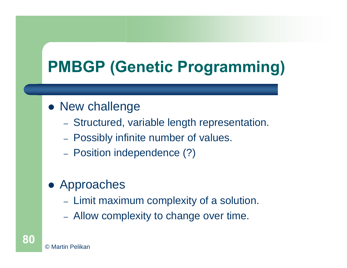# **PMBGP (Genetic Programming)**

#### • New challenge

- Structured, variable length representation.
- Possibly infinite number of values.
- Position independence (?)

### • Approaches

- Limit maximum complexity of a solution.
- Allow complexity to change over time.

**80**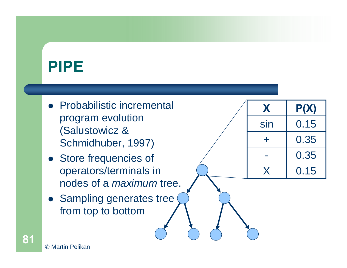## **PIPE**

- Probabilistic incremental program evolution (Salustowicz & Schmidhuber, 1997)
- Store frequencies of operators/terminals in nodes of a *maximum* tree.
- Sampling generates tree from top to bottom

| X   | P(X) |
|-----|------|
| sin | 0.15 |
| ╇   | 0.35 |
|     | 0.35 |
| X   | 0.15 |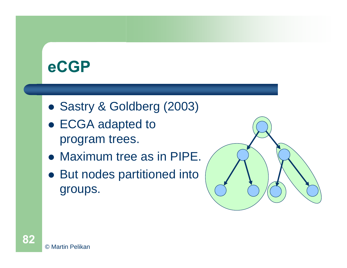## **eCGP**

- Sastry & Goldberg (2003)
- ECGA adapted to program trees.
- Maximum tree as in PIPE.
- But nodes partitioned into groups.

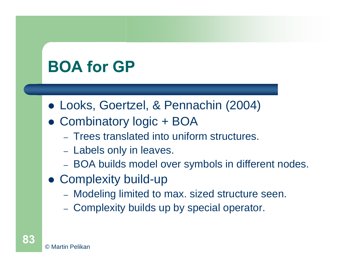## **BOA for GP**

- z Looks, Goertzel, & Pennachin (2004)
- Combinatory logic + BOA
	- Trees translated into uniform structures.
	- –- Labels only in leaves.
	- BOA builds model over symbols in different nodes.
- Complexity build-up
	- Modeling limited to max. sized structure seen.
	- –- Complexity builds up by special operator.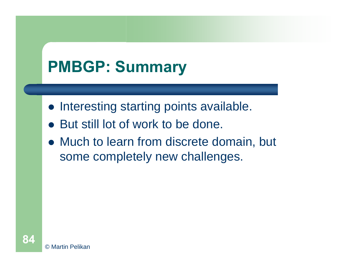## **PMBGP: Summary**

- Interesting starting points available.
- $\bullet$ But still lot of work to be done.
- Much to learn from discrete domain, but some completely new challenges.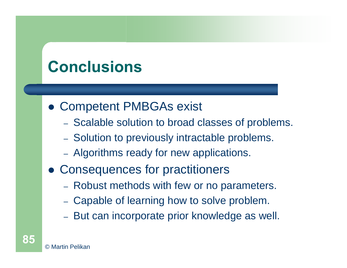## **Conclusions**

- **Competent PMBGAs exist** 
	- Scalable solution to broad classes of problems.
	- Solution to previously intractable problems.
	- Algorithms ready for new applications.
- Consequences for practitioners
	- Robust methods with few or no parameters.
	- Capable of learning how to solve problem.
	- But can incorporate prior knowledge as well.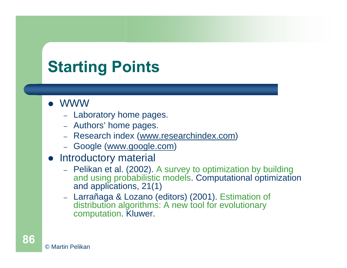# **Starting Points**

- z WWW
	- Laboratory home pages.
	- Authors' home pages.
	- [Research index \(www.researchindex.com](http://www.researchindex.com/))
	- Google [\(www.google.com](http://www.google.com/))
- Introductory material
	- Pelikan et al. (2002). A survey to optimization by building and using probabilistic models. Computational optimization and applications, 21(1)
	- Larrañaga & Lozano (editors) (2001). Estimation of distribution algorithms: A new tool for evolutionary computation. Kluwer.